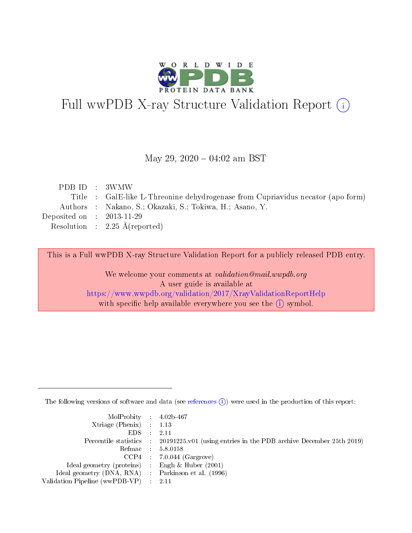

# Full wwPDB X-ray Structure Validation Report (i)

#### May 29,  $2020 - 04:02$  am BST

| PDB ID : 3WMW                        |                                                                                 |
|--------------------------------------|---------------------------------------------------------------------------------|
|                                      | Title : GalE-like L-Threonine dehydrogenase from Cupriavidus necator (apo form) |
|                                      | Authors : Nakano, S.; Okazaki, S.; Tokiwa, H.; Asano, Y.                        |
| Deposited on $\therefore$ 2013-11-29 |                                                                                 |
|                                      | Resolution : $2.25 \text{ Å}$ (reported)                                        |
|                                      |                                                                                 |

This is a Full wwPDB X-ray Structure Validation Report for a publicly released PDB entry.

We welcome your comments at validation@mail.wwpdb.org A user guide is available at <https://www.wwpdb.org/validation/2017/XrayValidationReportHelp> with specific help available everywhere you see the  $(i)$  symbol.

The following versions of software and data (see [references](https://www.wwpdb.org/validation/2017/XrayValidationReportHelp#references)  $(i)$ ) were used in the production of this report:

| $MolProbability$ 4.02b-467                          |                                                                                            |
|-----------------------------------------------------|--------------------------------------------------------------------------------------------|
| $Xtriangle (Phenix)$ : 1.13                         |                                                                                            |
| $EDS$ :                                             | 2.11                                                                                       |
|                                                     | Percentile statistics : 20191225.v01 (using entries in the PDB archive December 25th 2019) |
|                                                     | Refmac : 5.8.0158                                                                          |
| CCP4                                                | $7.0.044$ (Gargrove)                                                                       |
| Ideal geometry (proteins) :                         | Engh $\&$ Huber (2001)                                                                     |
| Ideal geometry (DNA, RNA) : Parkinson et al. (1996) |                                                                                            |
| Validation Pipeline (wwPDB-VP)                      | 2.11                                                                                       |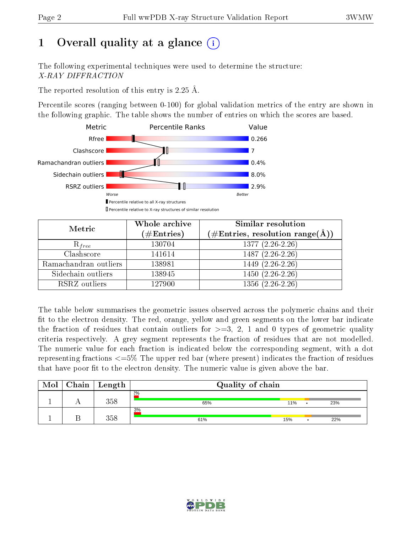# 1 [O](https://www.wwpdb.org/validation/2017/XrayValidationReportHelp#overall_quality)verall quality at a glance  $(i)$

The following experimental techniques were used to determine the structure: X-RAY DIFFRACTION

The reported resolution of this entry is 2.25 Å.

Percentile scores (ranging between 0-100) for global validation metrics of the entry are shown in the following graphic. The table shows the number of entries on which the scores are based.



| Metric                | Whole archive       | Similar resolution                                         |
|-----------------------|---------------------|------------------------------------------------------------|
|                       | (# $\rm{Entries}$ ) | $(\#\text{Entries}, \text{resolution range}(\text{\AA})\)$ |
| $R_{free}$            | 130704              | $1377(2.26-2.26)$                                          |
| Clashscore            | 141614              | $1487(2.26-2.26)$                                          |
| Ramachandran outliers | 138981              | $1449$ $(2.\overline{26-2.26})$                            |
| Sidechain outliers    | 138945              | $1450(2.26-2.26)$                                          |
| RSRZ outliers         | 127900              | $1356(2.26-2.26)$                                          |

The table below summarises the geometric issues observed across the polymeric chains and their fit to the electron density. The red, orange, yellow and green segments on the lower bar indicate the fraction of residues that contain outliers for  $>=3, 2, 1$  and 0 types of geometric quality criteria respectively. A grey segment represents the fraction of residues that are not modelled. The numeric value for each fraction is indicated below the corresponding segment, with a dot representing fractions  $\epsilon=5\%$  The upper red bar (where present) indicates the fraction of residues that have poor fit to the electron density. The numeric value is given above the bar.

| Mol | $Chain$ Length | Quality of chain |     |     |
|-----|----------------|------------------|-----|-----|
|     | 358            | 2%<br>65%        | 11% | 23% |
|     | 358            | 3%<br>61%        | 15% | 22% |

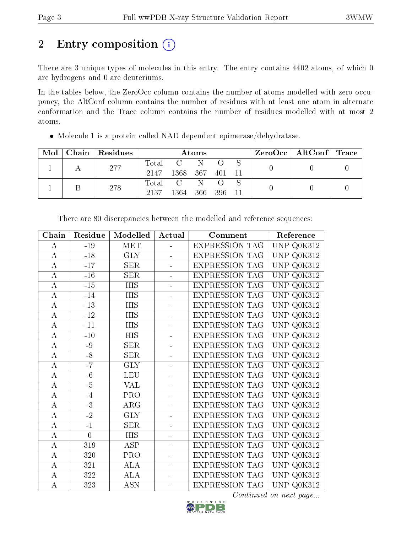# 2 Entry composition (i)

There are 3 unique types of molecules in this entry. The entry contains 4402 atoms, of which 0 are hydrogens and 0 are deuteriums.

In the tables below, the ZeroOcc column contains the number of atoms modelled with zero occupancy, the AltConf column contains the number of residues with at least one atom in alternate conformation and the Trace column contains the number of residues modelled with at most 2 atoms.

|  | $Mol$   Chain   Residues |      |                 | Atoms      |  | $\rm ZeroOcc \mid AltConf \mid Trace$ |  |
|--|--------------------------|------|-----------------|------------|--|---------------------------------------|--|
|  | 277                      |      | Total C N       |            |  |                                       |  |
|  |                          | 2147 | 1368 367 401 11 |            |  |                                       |  |
|  | 278                      |      | Total C N       |            |  |                                       |  |
|  |                          | 2137 | 1364            | 366 396 11 |  |                                       |  |

Molecule 1 is a protein called NAD dependent epimerase/dehydratase.

| Chain            | Residue         | Modelled             | Actual   | Comment               | Reference                            |
|------------------|-----------------|----------------------|----------|-----------------------|--------------------------------------|
| А                | $-19$           | <b>MET</b>           | ÷.       | <b>EXPRESSION TAG</b> | Q0K312<br>UNP                        |
| $\boldsymbol{A}$ | $-18$           | <b>GLY</b>           |          | <b>EXPRESSION TAG</b> | Q0K312<br>UNP                        |
| $\bf{A}$         | $-17$           | <b>SER</b>           | L.       | <b>EXPRESSION TAG</b> | <b>UNP</b><br>Q0K312                 |
| $\bf{A}$         | $-16$           | <b>SER</b>           | L.       | <b>EXPRESSION TAG</b> | Q0K312<br>UNP                        |
| $\bf{A}$         | $\mbox{-}15$    | <b>HIS</b>           | ÷,       | <b>EXPRESSION TAG</b> | Q0K312<br>UNP                        |
| $\overline{A}$   | $-14$           | <b>HIS</b>           | $\equiv$ | <b>EXPRESSION TAG</b> | Q0K312<br><b>UNP</b>                 |
| $\overline{A}$   | $-13$           | $\overline{HIS}$     | ÷,       | <b>EXPRESSION TAG</b> | Q0K312<br>UNP                        |
| $\bf{A}$         | $-12$           | <b>HIS</b>           | ÷.       | <b>EXPRESSION TAG</b> | Q0K312<br>UNP                        |
| $\bf{A}$         | $-11$           | <b>HIS</b>           |          | <b>EXPRESSION TAG</b> | Q0K312<br><b>UNP</b>                 |
| $\boldsymbol{A}$ | $-10$           | <b>HIS</b>           |          | <b>EXPRESSION TAG</b> | <b>UNP</b><br>Q <sub>0</sub> K312    |
| $\boldsymbol{A}$ | -9              | <b>SER</b>           |          | <b>EXPRESSION TAG</b> | <b>UNP</b><br>Q0K312                 |
| $\bf{A}$         | $\mbox{-}8$     | <b>SER</b>           | ÷.       | <b>EXPRESSION TAG</b> | <b>UNP</b><br>Q0K312                 |
| $\bf{A}$         | $-7$            | <b>GLY</b>           | ÷.       | <b>EXPRESSION TAG</b> | Q0K312<br>UNP                        |
| $\boldsymbol{A}$ | $-6$            | <b>LEU</b>           | ÷,       | <b>EXPRESSION TAG</b> | UNP<br>Q0K312                        |
| $\overline{A}$   | $-5$            | <b>VAL</b>           | $\equiv$ | <b>EXPRESSION TAG</b> | Q0K312<br><b>UNP</b>                 |
| $\bf{A}$         | $-4$            | <b>PRO</b>           | $\equiv$ | <b>EXPRESSION TAG</b> | Q0K312<br>UNP                        |
| $\overline{A}$   | $\overline{-3}$ | $\overline{\rm ARG}$ | L,       | EXPRESSION TAG        | Q0K312<br><b>UNP</b>                 |
| $\bf{A}$         | $-2$            | <b>GLY</b>           | L.       | <b>EXPRESSION TAG</b> | Q0K312<br><b>UNP</b>                 |
| $\boldsymbol{A}$ | $\overline{-1}$ | SER                  |          | <b>EXPRESSION TAG</b> | <b>UNP</b><br>$\sqrt{\text{Q0K312}}$ |
| $\boldsymbol{A}$ | $\overline{0}$  | <b>HIS</b>           |          | <b>EXPRESSION TAG</b> | Q0K312<br><b>UNP</b>                 |
| $\bf{A}$         | 319             | <b>ASP</b>           |          | <b>EXPRESSION TAG</b> | <b>UNP</b><br>Q0K312                 |
| $\overline{A}$   | 320             | PRO                  | ÷.       | EXPRESSION TAG        | Q <sub>0</sub> K312<br><b>UNP</b>    |
| $\bf{A}$         | 321             | ALA                  | $\equiv$ | <b>EXPRESSION TAG</b> | Q0K312<br><b>UNP</b>                 |
| $\overline{A}$   | 322             | ALA                  | L.       | <b>EXPRESSION TAG</b> | $Q0K31\overline{2}$<br>UNP           |
| $\bf{A}$         | 323             | <b>ASN</b>           | L,       | <b>EXPRESSION TAG</b> | UNP Q0K312                           |
|                  |                 |                      |          |                       |                                      |

There are 80 discrepancies between the modelled and reference sequences:

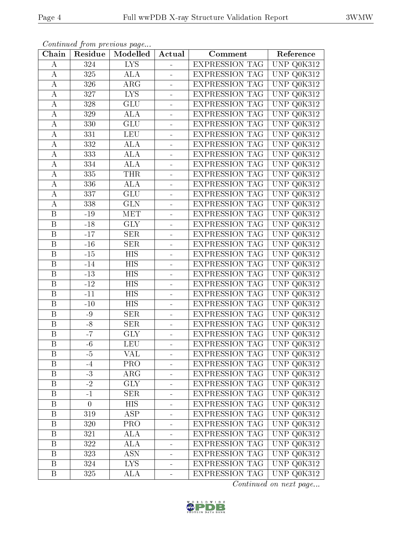|--|--|

| Chain                   | Residue        | Communica from precious page<br>Modelled | Actual                   | Comment               | Reference                             |
|-------------------------|----------------|------------------------------------------|--------------------------|-----------------------|---------------------------------------|
| А                       | 324            | <b>LYS</b>                               |                          | EXPRESSION TAG        | $\overline{\text{UNP Q0K}}$ 312       |
| А                       | 325            | ALA                                      | ÷                        | <b>EXPRESSION TAG</b> | UNP<br>Q0K312                         |
| Α                       | 326            | ARG                                      | $\frac{1}{2}$            | <b>EXPRESSION TAG</b> | UNP Q0K312                            |
| А                       | 327            | <b>LYS</b>                               | $\blacksquare$           | <b>EXPRESSION TAG</b> | UNP<br>Q0K312                         |
| А                       | 328            | GLU                                      | $\blacksquare$           | <b>EXPRESSION TAG</b> | UNP<br>Q0K312                         |
| А                       | 329            | ALA                                      |                          | <b>EXPRESSION TAG</b> | <b>UNP</b><br>Q0K312                  |
| A                       | 330            | <b>GLU</b>                               |                          | <b>EXPRESSION TAG</b> | UNP<br>Q0K312                         |
| А                       | 331            | <b>LEU</b>                               |                          | <b>EXPRESSION TAG</b> | UNP<br>Q0K312                         |
| А                       | 332            | <b>ALA</b>                               | $\blacksquare$           | <b>EXPRESSION TAG</b> | UNP<br>Q0K312                         |
| A                       | 333            | ALA                                      |                          | <b>EXPRESSION TAG</b> | UNP Q0K312                            |
| $\boldsymbol{A}$        | 334            | ALA                                      | $\blacksquare$           | <b>EXPRESSION TAG</b> | UNP<br>Q0K312                         |
| А                       | 335            | <b>THR</b>                               |                          | <b>EXPRESSION TAG</b> | <b>UNP</b><br>Q <sub>0</sub> K312     |
| А                       | 336            | ALA                                      | $\overline{\phantom{0}}$ | <b>EXPRESSION TAG</b> | UNP<br>Q0K312                         |
| А                       | 337            | GLU                                      |                          | <b>EXPRESSION TAG</b> | <b>UNP</b><br>Q0K312                  |
| $\boldsymbol{A}$        | 338            | <b>GLN</b>                               | ÷                        | <b>EXPRESSION TAG</b> | UNP<br>Q0K312                         |
| B                       | $-19$          | MET                                      |                          | <b>EXPRESSION TAG</b> | $\overline{\text{UNP}}$ Q0K312        |
| B                       | $-18$          | <b>GLY</b>                               | ÷                        | <b>EXPRESSION TAG</b> | UNP<br>Q0K312                         |
| B                       | $-17$          | <b>SER</b>                               | $\overline{a}$           | <b>EXPRESSION TAG</b> | <b>UNP</b><br>Q0K312                  |
| B                       | $-16$          | <b>SER</b>                               | $\overline{\phantom{0}}$ | <b>EXPRESSION TAG</b> | <b>UNP</b><br>Q0K312                  |
| $\boldsymbol{B}$        | $-15$          | <b>HIS</b>                               | $\overline{\phantom{0}}$ | <b>EXPRESSION TAG</b> | <b>UNP</b><br>Q0K312                  |
| B                       | $-14$          | <b>HIS</b>                               | $\blacksquare$           | <b>EXPRESSION TAG</b> | $\ensuremath{\mathrm{UNP}}$<br>Q0K312 |
| B                       | $-13$          | <b>HIS</b>                               | $\blacksquare$           | <b>EXPRESSION TAG</b> | UNP<br>Q0K312                         |
| $\, {\bf B}$            | $-12$          | HIS                                      |                          | <b>EXPRESSION TAG</b> | UNP<br>Q0K312                         |
| $\, {\bf B}$            | $-11$          | <b>HIS</b>                               | ÷                        | <b>EXPRESSION TAG</b> | UNP<br>Q0K312                         |
| $\boldsymbol{B}$        | $-10$          | <b>HIS</b>                               |                          | <b>EXPRESSION TAG</b> | <b>UNP</b><br>Q0K312                  |
| $\boldsymbol{B}$        | $-9$           | <b>SER</b>                               | ÷                        | <b>EXPRESSION TAG</b> | UNP<br>Q0K312                         |
| B                       | $-8$           | <b>SER</b>                               |                          | <b>EXPRESSION TAG</b> | U <sub>NP</sub><br>Q0K312             |
| $\boldsymbol{B}$        | $-7$           | <b>GLY</b>                               | $\blacksquare$           | <b>EXPRESSION TAG</b> | UNP<br>Q0K312                         |
| $\overline{\mathrm{B}}$ | $-6$           | LEU                                      |                          | <b>EXPRESSION TAG</b> | $\overline{\text{UNP Q0K}}312$        |
| Β                       | $-5$           | VAL                                      |                          | <b>EXPRESSION TAG</b> | UNP Q0K312                            |
| $\boldsymbol{B}$        | $-4$           | <b>PRO</b>                               |                          | <b>EXPRESSION TAG</b> | $\overline{\text{UNP Q0K312}}$        |
| $\boldsymbol{B}$        | $-3$           | $\rm{ARG}$                               |                          | <b>EXPRESSION TAG</b> | UNP Q0K312                            |
| $\boldsymbol{B}$        | $-2$           | $\overline{\text{GLY}}$                  |                          | <b>EXPRESSION TAG</b> | UNP Q0K312                            |
| B                       | $-1$           | <b>SER</b>                               |                          | <b>EXPRESSION TAG</b> | UNP Q0K312                            |
| $\, {\bf B}$            | $\overline{0}$ | <b>HIS</b>                               |                          | <b>EXPRESSION TAG</b> | $\overline{\text{UNP}}$ Q0K312        |
| Β                       | 319            | $\overline{\rm ASP}$                     | ÷                        | <b>EXPRESSION TAG</b> | UNP Q0K312                            |
| B                       | 320            | PRO                                      | $\overline{\phantom{0}}$ | <b>EXPRESSION TAG</b> | UNP Q0K312                            |
| Β                       | 321            | ALA                                      | -                        | <b>EXPRESSION TAG</b> | UNP Q0K312                            |
| $\boldsymbol{B}$        | 322            | ALA                                      | $\blacksquare$           | <b>EXPRESSION TAG</b> | UNP Q0K312                            |
| Β                       | 323            | <b>ASN</b>                               | -                        | <b>EXPRESSION TAG</b> | UNP Q0K312                            |
| $\boldsymbol{B}$        | 324            | LYS.                                     | $\blacksquare$           | <b>EXPRESSION TAG</b> | UNP Q0K312                            |
| $\boldsymbol{B}$        | 325            | ALA                                      | $\blacksquare$           | <b>EXPRESSION TAG</b> | UNP Q0K312                            |

Continued from previous page.

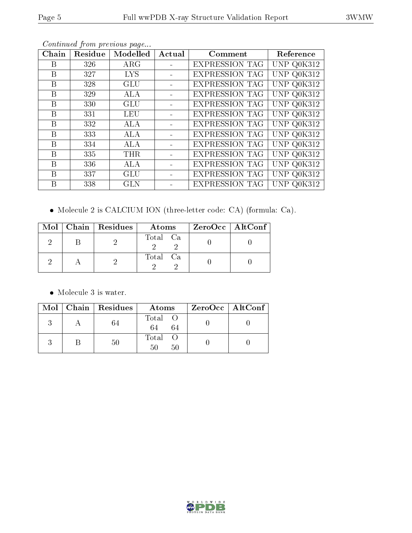|--|

| Chain | Residue | Modelled   | Actual | Comment               | Reference  |
|-------|---------|------------|--------|-----------------------|------------|
| B     | 326     | $\rm{ARG}$ |        | <b>EXPRESSION TAG</b> | UNP Q0K312 |
| B     | 327     | <b>LYS</b> |        | <b>EXPRESSION TAG</b> | UNP Q0K312 |
| B     | 328     | <b>GLU</b> |        | <b>EXPRESSION TAG</b> | UNP Q0K312 |
| Β     | 329     | ALA        |        | <b>EXPRESSION TAG</b> | UNP Q0K312 |
| B     | 330     | GLU        |        | <b>EXPRESSION TAG</b> | UNP Q0K312 |
| B     | 331     | <b>LEU</b> |        | <b>EXPRESSION TAG</b> | UNP Q0K312 |
| B     | 332     | ALA        |        | <b>EXPRESSION TAG</b> | UNP Q0K312 |
| B     | 333     | <b>ALA</b> |        | <b>EXPRESSION TAG</b> | UNP Q0K312 |
| B     | 334     | <b>ALA</b> |        | <b>EXPRESSION TAG</b> | UNP Q0K312 |
| B     | 335     | <b>THR</b> |        | <b>EXPRESSION TAG</b> | UNP Q0K312 |
| B     | 336     | <b>ALA</b> |        | <b>EXPRESSION TAG</b> | UNP Q0K312 |
| B     | 337     | GLU        |        | <b>EXPRESSION TAG</b> | UNP Q0K312 |
| B     | 338     | <b>GLN</b> |        | <b>EXPRESSION TAG</b> | UNP Q0K312 |

Continued from previous page...

Molecule 2 is CALCIUM ION (three-letter code: CA) (formula: Ca).

|  | $Mol$   Chain   Residues | Atoms    | $ZeroOcc$   AltConf |
|--|--------------------------|----------|---------------------|
|  |                          | Total Ca |                     |
|  |                          | Total Ca |                     |

 $\bullet\,$  Molecule 3 is water.

|  | $Mol$   Chain   Residues | Atoms               | $ZeroOcc \   \ AltConf \  $ |
|--|--------------------------|---------------------|-----------------------------|
|  | 64                       | Total O<br>64<br>64 |                             |
|  | $50\,$                   | Total<br>50<br>50   |                             |

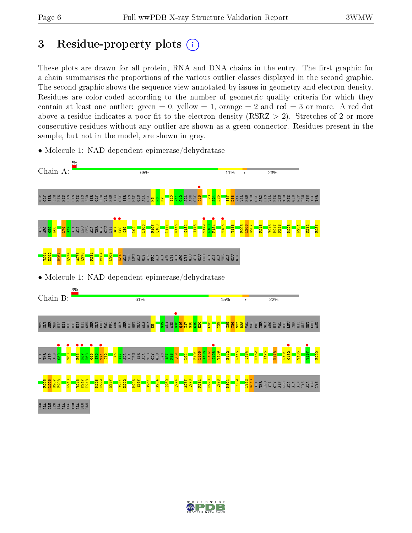# 3 Residue-property plots  $(i)$

These plots are drawn for all protein, RNA and DNA chains in the entry. The first graphic for a chain summarises the proportions of the various outlier classes displayed in the second graphic. The second graphic shows the sequence view annotated by issues in geometry and electron density. Residues are color-coded according to the number of geometric quality criteria for which they contain at least one outlier: green  $= 0$ , yellow  $= 1$ , orange  $= 2$  and red  $= 3$  or more. A red dot above a residue indicates a poor fit to the electron density (RSRZ  $> 2$ ). Stretches of 2 or more consecutive residues without any outlier are shown as a green connector. Residues present in the sample, but not in the model, are shown in grey.



• Molecule 1: NAD dependent epimerase/dehydratase

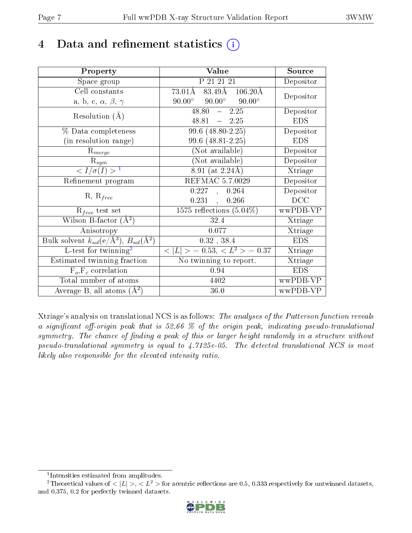# 4 Data and refinement statistics  $(i)$

| Property                                                   | Value                                                    | Source                       |
|------------------------------------------------------------|----------------------------------------------------------|------------------------------|
| Space group                                                | P 21 21 21                                               | Depositor                    |
| Cell constants                                             | $73.01\text{\AA}$ 83.49Å 106.20Å                         | Depositor                    |
| a, b, c, $\alpha$ , $\beta$ , $\gamma$                     | $90.00^{\circ}$<br>$90.00^\circ$<br>$90.00^\circ$        |                              |
| Resolution $(A)$                                           | $-2.25$<br>48.80                                         | Depositor                    |
|                                                            | $-2.25$<br>48.81                                         | <b>EDS</b>                   |
| % Data completeness                                        | 99.6 (48.80-2.25)                                        | Depositor                    |
| (in resolution range)                                      | 99.6 (48.81-2.25)                                        | <b>EDS</b>                   |
| $R_{merge}$                                                | (Not available)                                          | Depositor                    |
| $\mathrm{R}_{sym}$                                         | $(No\bar{t}$ available)                                  | Depositor                    |
| $\langle I/\sigma(I) \rangle$ <sup>1</sup>                 | $8.91$ (at 2.24Å)                                        | Xtriage                      |
| Refinement program                                         | REFMAC 5.7.0029                                          | Depositor                    |
| $R, R_{free}$                                              | $0.227$ , $0.264$                                        | Depositor                    |
|                                                            | 0.231<br>0.266                                           | DCC                          |
| $R_{free}$ test set                                        | 1575 reflections $(5.04\%)$                              | wwPDB-VP                     |
| Wilson B-factor $(A^2)$                                    | 32.4                                                     | Xtriage                      |
| Anisotropy                                                 | 0.077                                                    | Xtriage                      |
| Bulk solvent $k_{sol}$ (e/Å <sup>3</sup> ), $B_{sol}(A^2)$ | $0.32$ , $38.4$                                          | <b>EDS</b>                   |
| L-test for twinning <sup>2</sup>                           | $\langle  L  \rangle = 0.53, \langle L^2 \rangle = 0.37$ | Xtriage                      |
| Estimated twinning fraction                                | No twinning to report.                                   | $\overline{\text{X}}$ triage |
| $\overline{F_o}, \overline{F_c}$ correlation               | 0.94                                                     | <b>EDS</b>                   |
| Total number of atoms                                      | 4402                                                     | wwPDB-VP                     |
| Average B, all atoms $(A^2)$                               | 36.0                                                     | wwPDB-VP                     |

Xtriage's analysis on translational NCS is as follows: The analyses of the Patterson function reveals a significant off-origin peak that is 52.66  $\%$  of the origin peak, indicating pseudo-translational symmetry. The chance of finding a peak of this or larger height randomly in a structure without pseudo-translational symmetry is equal to 4.7125e-05. The detected translational NCS is most likely also responsible for the elevated intensity ratio.

<sup>&</sup>lt;sup>2</sup>Theoretical values of  $\langle |L| \rangle$ ,  $\langle L^2 \rangle$  for acentric reflections are 0.5, 0.333 respectively for untwinned datasets, and 0.375, 0.2 for perfectly twinned datasets.



<span id="page-6-1"></span><span id="page-6-0"></span><sup>1</sup> Intensities estimated from amplitudes.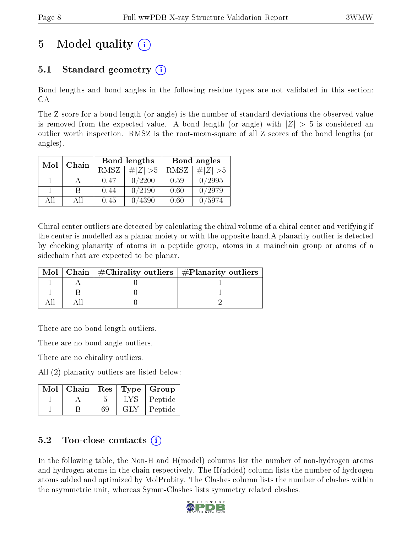# 5 Model quality  $(i)$

## 5.1 Standard geometry  $\overline{()}$

Bond lengths and bond angles in the following residue types are not validated in this section: CA

The Z score for a bond length (or angle) is the number of standard deviations the observed value is removed from the expected value. A bond length (or angle) with  $|Z| > 5$  is considered an outlier worth inspection. RMSZ is the root-mean-square of all Z scores of the bond lengths (or angles).

| Chain<br>Mol |      |             | Bond lengths | Bond angles |             |
|--------------|------|-------------|--------------|-------------|-------------|
|              |      | <b>RMSZ</b> | $\# Z  > 5$  | RMSZ        | $\ Z\  > 5$ |
|              |      | 0.47        | 0/2200       | 0.59        | 0/2995      |
|              | R    | 0.44        | 0/2190       | 0.60        | 0/2979      |
| AΠ           | A 11 | 0.45        | /4390        | 0.60        | /5974       |

Chiral center outliers are detected by calculating the chiral volume of a chiral center and verifying if the center is modelled as a planar moiety or with the opposite hand.A planarity outlier is detected by checking planarity of atoms in a peptide group, atoms in a mainchain group or atoms of a sidechain that are expected to be planar.

|  | Mol   Chain   $\#\text{Chirality outliers}$   $\#\text{Planarity outliers}$ |
|--|-----------------------------------------------------------------------------|
|  |                                                                             |
|  |                                                                             |
|  |                                                                             |

There are no bond length outliers.

There are no bond angle outliers.

There are no chirality outliers.

All (2) planarity outliers are listed below:

| Mol | Chain | $\operatorname{Res}% \left( \mathcal{N}\right) \equiv\operatorname{Res}(\mathcal{N}_{0},\mathcal{N}_{0})$ |      | Type   Group |
|-----|-------|-----------------------------------------------------------------------------------------------------------|------|--------------|
|     |       |                                                                                                           | LY S | Peptide      |
|     |       |                                                                                                           | GEN  | Peptide      |

## 5.2 Too-close contacts  $\binom{1}{1}$

In the following table, the Non-H and H(model) columns list the number of non-hydrogen atoms and hydrogen atoms in the chain respectively. The H(added) column lists the number of hydrogen atoms added and optimized by MolProbity. The Clashes column lists the number of clashes within the asymmetric unit, whereas Symm-Clashes lists symmetry related clashes.

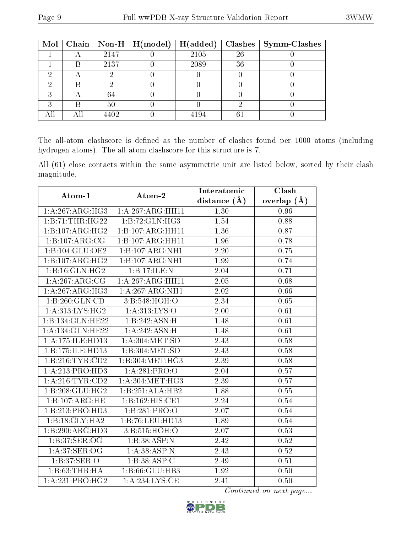|   |      | Mol   Chain   Non-H   H(model)   H(added) |      |    | $Clashes$   Symm-Clashes |
|---|------|-------------------------------------------|------|----|--------------------------|
|   | 2147 |                                           | 2105 | 26 |                          |
|   | 2137 |                                           | 2089 | 36 |                          |
|   |      |                                           |      |    |                          |
|   |      |                                           |      |    |                          |
|   | 64   |                                           |      |    |                          |
| В | 50   |                                           |      |    |                          |
|   | 4402 |                                           | 4194 |    |                          |

The all-atom clashscore is defined as the number of clashes found per 1000 atoms (including hydrogen atoms). The all-atom clashscore for this structure is 7.

All (61) close contacts within the same asymmetric unit are listed below, sorted by their clash magnitude.

| Atom-1                      | Atom-2                      | Interatomic       | Clash             |
|-----------------------------|-----------------------------|-------------------|-------------------|
|                             |                             | distance $(\AA)$  | overlap $(A)$     |
| 1: A:267: ARG:HG3           | 1: A:267: ARG: HH11         | 1.30              | 0.96              |
| 1:B:71:THR:HG22             | 1:B:72:GLN:HG3              | 1.54              | 0.88              |
| 1:B:107:ARG:HG2             | 1:B:107:ARG:HH11            | 1.36              | 0.87              |
| 1:B:107:ARG:CG              | 1:B:107:ARG:HH11            | 1.96              | 0.78              |
| 1:B:104:GLU:OE2             | 1:B:107:ARG:NH1             | 2.20              | 0.75              |
| 1:B:107:ARG:HG2             | 1:B:107:ARG:NH1             | 1.99              | 0.74              |
| 1:B:16:GLN:HG2              | 1:B:17:ILE:N                | 2.04              | 0.71              |
| $1:A:267:ARG:\overline{CG}$ | 1:A:267:ARG:HH11            | $\overline{2.05}$ | $\overline{0.68}$ |
| 1:A:267:ARG:HG3             | 1: A:267:ARG:NH1            | 2.02              | 0.66              |
| 1:B:260:GLN:CD              | 3:B:548:HOH:O               | 2.34              | 0.65              |
| 1:A:313:LYS:HG2             | 1: A: 313: LYS: O           | 2.00              | 0.61              |
| 1:B:134:GLN:HE22            | 1:B:242:ASN:H               | 1.48              | $\overline{0.61}$ |
| 1:A:134:GLN:HE22            | 1:A:242:ASN:H               | 1.48              | 0.61              |
| 1:A:175:ILE:HD13            | 1: A:304: MET:SD            | 2.43              | 0.58              |
| 1:B:175:ILE:HD13            | 1:B:304:MET:SD              | 2.43              | 0.58              |
| 1: B: 216: TYR: CD2         | 1:B:304:MET:HG3             | 2.39              | 0.58              |
| 1:A:213:PRO:HD3             | 1:A:281:PRO:O               | 2.04              | 0.57              |
| 1: A:216:TYR:CD2            | 1: A:304:MET:HG3            | 2.39              | $\overline{0.57}$ |
| 1: B:208: GLU: HG2          | 1:B:251:ALA:HB2             | 1.88              | 0.55              |
| 1:B:107:ARG:HE              | 1:B:162:HIS:CE1             | 2.24              | 0.54              |
| 1:B:213:PRO:HD3             | 1:B:281:PRO:O               | 2.07              | 0.54              |
| 1:B:18:GLY:HA2              | 1:B:76:LEU:HD13             | 1.89              | 0.54              |
| 1:B:290:ARG:HD3             | 3:B:515:HOH:O               | 2.07              | 0.53              |
| 1: B:37: SER:OG             | 1:B:38:ASP:N                | 2.42              | 0.52              |
| 1: A:37: SER:OG             | 1:A:38:ASP:N                | 2.43              | 0.52              |
| 1:B:37:SER:O                | 1:B:38:ASP:C                | 2.49              | 0.51              |
| 1:B:63:THR:HA               | 1:B:66:GLU:HB3              | 1.92              | 0.50              |
| 1:A:231:PRO:HG2             | $1:A:\overline{234:LYS:CE}$ | 2.41              | 0.50              |

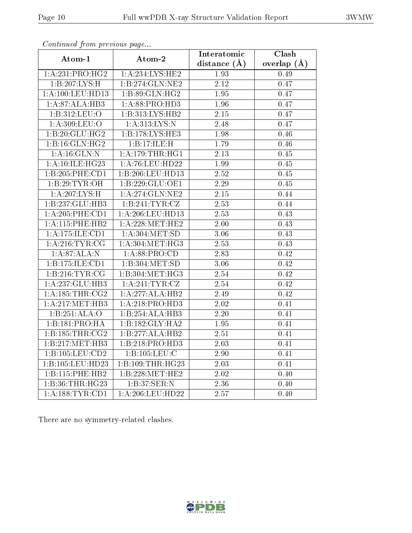|                             |                    | Interatomic       | Clash         |
|-----------------------------|--------------------|-------------------|---------------|
| Atom-1                      | Atom-2             | distance $(A)$    | overlap $(A)$ |
| 1:A:231:PRO:HG2             | 1: A:234:LYS:HE2   | 1.93              | 0.49          |
| 1:B:207:LYS:H               | 1:B:274:GLN:NE2    | 2.12              | 0.47          |
| 1: A: 100: LEU: HD13        | 1: B:89: GLN: HG2  | 1.95              | 0.47          |
| 1:A:87:ALA:HB3              | 1: A:88: PRO:HD3   | 1.96              | 0.47          |
| 1:B:312:LEU:O               | 1:B:313:LYS:HB2    | 2.15              | 0.47          |
| 1: A:309: LEU:O             | 1: A:313: LYS:N    | 2.48              | 0.47          |
| 1:B:20:GLU:HG2              | 1:B:178:LYS:HE3    | 1.98              | 0.46          |
| 1:B:16:GLN:HG2              | 1:B:17:ILE:H       | 1.79              | 0.46          |
| 1:A:16:GLN:N                | 1: A:179:THR:HG1   | 2.13              | 0.45          |
| 1: A:10: ILE: HG23          | 1: A:76: LEU: HD22 | 1.99              | 0.45          |
| 1:B:205:PHE:CD1             | 1:B:206:LEU:HD13   | 2.52              | 0.45          |
| 1:B:29:TYR:OH               | 1:B:229:GLU:OE1    | 2.29              | 0.45          |
| $1:A:207:LYS:\overline{H}$  | 1:A:274:GLN:NE2    | 2.15              | 0.44          |
| 1:B:237:GLU:HB3             | 1: B:241: TYR: CZ  | 2.53              | 0.44          |
| 1: A:205:PHE:CD1            | 1: A:206:LEU:HD13  | 2.53              | 0.43          |
| 1:A:115:PHE:HB2             | 1: A:228: MET:HE2  | 2.00              | 0.43          |
| 1:A:175:ILE:CD1             | 1: A:304: MET:SD   | 3.06              | 0.43          |
| 1: A:216:TYR:CG             | 1: A:304:MET:HG3   | 2.53              | 0.43          |
| 1: A:87: ALA: N             | 1: A:88: PRO:CD    | 2.83              | 0.42          |
| 1:B:175:ILE:CD1             | 1:B:304:MET:SD     | 3.06              | 0.42          |
| 1:B:216:TYR:CG              | 1:B:304:MET:HG3    | $\overline{2.54}$ | 0.42          |
| 1:A:237:GLU:HB3             | 1: A:241:TYR:CZ    | 2.54              | 0.42          |
| 1: A: 185: THR: CG2         | 1:A:277:ALA:HB2    | 2.49              | 0.42          |
| 1: A:217: MET:HB3           | 1: A:218: PRO:HD3  | 2.02              | 0.41          |
| 1:B:251:ALA:O               | 1:B:254:ALA:HB3    | 2.20              | 0.41          |
| $1:B:\overline{181:PRO:HA}$ | 1:B:182:GLY:HA2    | 1.95              | 0.41          |
| 1: B: 185: THR: CG2         | 1:B:277:ALA:HB2    | 2.51              | 0.41          |
| 1:B:217:MET:HB3             | 1:B:218:PRO:HD3    | 2.03              | 0.41          |
| 1:B:105:LEU:CD2             | 1:B:105:LEU:C      | 2.90              | 0.41          |
| 1:B:105:LEU:HD23            | 1:B:109:THR:HG23   | 2.03              | 0.41          |
| 1:B:115:PHE:HB2             | 1:B:228:MET:HE2    | 2.02              | 0.40          |
| 1:B:36:THR:HG23             | 1:B:37:SER:N       | 2.36              | 0.40          |
| 1:A:188:TYR:CD1             | 1:A:206:LEU:HD22   | 2.57              | 0.40          |

Continued from previous page...

There are no symmetry-related clashes.

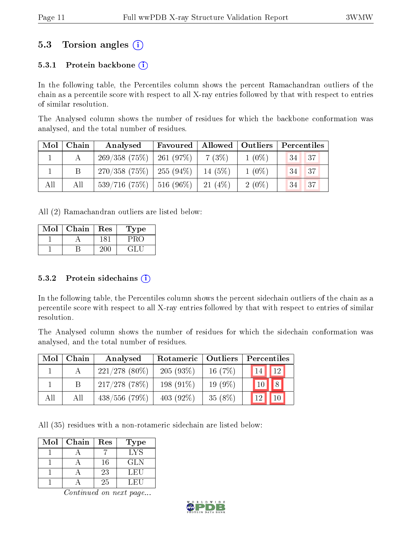## 5.3 Torsion angles (i)

### 5.3.1 Protein backbone  $(i)$

In the following table, the Percentiles column shows the percent Ramachandran outliers of the chain as a percentile score with respect to all X-ray entries followed by that with respect to entries of similar resolution.

The Analysed column shows the number of residues for which the backbone conformation was analysed, and the total number of residues.

| Mol | $\mid$ Chain | Analysed                                | Favoured   Allowed   Outliers |           |          | Percentiles |             |
|-----|--------------|-----------------------------------------|-------------------------------|-----------|----------|-------------|-------------|
|     |              | $269/358$ (75\%)   261 (97\%)   7 (3\%) |                               |           | $1(0\%)$ | 34          | $\sqrt{37}$ |
|     |              | $270/358$ (75\%)   255 (94\%)           |                               | $14(5\%)$ | $1(0\%)$ | 34          | 37          |
| All | All          | $539/716$ (75\%)   516 (96\%)           |                               | $-21(4%)$ | $2(0\%)$ | 34          | 137         |

All (2) Ramachandran outliers are listed below:

| Mol | Chain | Res | Type |
|-----|-------|-----|------|
|     |       |     |      |
|     |       |     |      |

#### 5.3.2 Protein sidechains  $(i)$

In the following table, the Percentiles column shows the percent sidechain outliers of the chain as a percentile score with respect to all X-ray entries followed by that with respect to entries of similar resolution.

The Analysed column shows the number of residues for which the sidechain conformation was analysed, and the total number of residues.

| Mol | Chain | Analysed         | Rotameric    | Outliers  | Percentiles           |
|-----|-------|------------------|--------------|-----------|-----------------------|
|     |       | $221/278$ (80\%) | 205(93%)     | 16 $(7%)$ | 12<br>14 <sup>°</sup> |
|     | В     | $217/278$ (78%)  | $198(91\%)$  | $19(9\%)$ | 8<br>10 <sup>1</sup>  |
| All | All   | $438/556$ (79\%) | 403 $(92\%)$ | $35(8\%)$ | 10<br>12              |

All (35) residues with a non-rotameric sidechain are listed below:

| Mol | Chain | Res | Type       |
|-----|-------|-----|------------|
|     |       |     | LYS        |
|     |       | 16  | <b>GLN</b> |
|     |       | 23  | LEU        |
|     |       | 25  | LEU        |

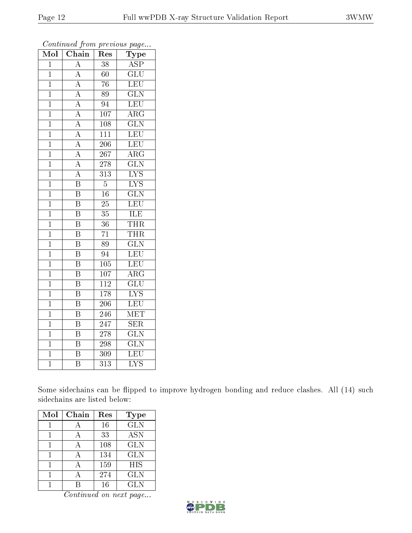| Mol            | Chain                   | $\operatorname{Res}% \left( \mathcal{N}\right) \equiv\operatorname{Res}(\mathcal{N}_{0})\cap\mathcal{N}_{1}$ | $\mathrm{Type}$           |
|----------------|-------------------------|--------------------------------------------------------------------------------------------------------------|---------------------------|
| $\overline{1}$ | $\overline{\rm A}$      | 38                                                                                                           | $\overline{\text{ASP}}$   |
| $\mathbf{1}$   | $\overline{\rm A}$      | 60                                                                                                           | $\overline{\text{GLU}}$   |
| $\overline{1}$ | $\overline{A}$          | $\overline{76}$                                                                                              | $\overline{\text{LEU}}$   |
| $\overline{1}$ | $\overline{A}$          | $\overline{89}$                                                                                              | $\overline{\text{GLN}}$   |
| $\overline{1}$ | $\overline{A}$          | $\overline{94}$                                                                                              | $\overline{\text{LEU}}$   |
| $\mathbf{1}$   | $\overline{A}$          | 107                                                                                                          | $AR\overline{G}$          |
| $\mathbf{1}$   | $\overline{A}$          | 108                                                                                                          | $\overline{\text{GLN}}$   |
| $\overline{1}$ | $\overline{A}$          | 111                                                                                                          | LEU                       |
| $\overline{1}$ | $\overline{A}$          | 206                                                                                                          | LEU                       |
| $\overline{1}$ | $\overline{A}$          | 267                                                                                                          | $\overline{\rm{ARG}}$     |
| $\mathbf{1}$   | $\overline{\rm A}$      | 278                                                                                                          | $\overline{\text{GLN}}$   |
| $\overline{1}$ | $\overline{A}$          | $\overline{313}$                                                                                             | $\overline{\text{LYS}}$   |
| $\mathbf{1}$   | $\overline{\mathrm{B}}$ | $\overline{5}$                                                                                               | $\overline{\text{LYS}}$   |
| $\mathbf{1}$   | $\overline{\mathrm{B}}$ | 16                                                                                                           | $\overline{\text{GLN}}$   |
| $\mathbf 1$    | $\overline{\mathrm{B}}$ | $\overline{25}$                                                                                              | LEU                       |
| $\overline{1}$ | $\overline{\mathrm{B}}$ | $\overline{35}$                                                                                              | $\overline{\text{ILE}}$   |
| $\overline{1}$ | $\overline{\mathrm{B}}$ | $\overline{36}$                                                                                              | THR                       |
| $\mathbf{1}$   | $\overline{\mathrm{B}}$ | $\overline{71}$                                                                                              | <b>THR</b>                |
| $\overline{1}$ | $\overline{\mathrm{B}}$ | $\overline{8}9$                                                                                              | $\overline{\text{GLN}}$   |
| $\overline{1}$ | $\overline{\mathrm{B}}$ | 94                                                                                                           | LEU                       |
| $\mathbf 1$    | $\overline{\mathrm{B}}$ | 105                                                                                                          | LEU                       |
| $\overline{1}$ | $\overline{\mathrm{B}}$ | $\overline{107}$                                                                                             | $\overline{\rm ARG}$      |
| $\mathbf 1$    | $\overline{\mathrm{B}}$ | 112                                                                                                          | $\overline{\text{GLU}}$   |
| $\mathbf 1$    | $\overline{\mathrm{B}}$ | $\overline{178}$                                                                                             | $\overline{\text{LYS}}$   |
| $\mathbf 1$    | $\overline{\mathrm{B}}$ | 206                                                                                                          | LEU                       |
| $\mathbf 1$    | $\overline{\mathrm{B}}$ | 246                                                                                                          | $\overline{\text{MET}}$   |
| $\overline{1}$ | $\overline{\mathrm{B}}$ | 247                                                                                                          | $\overline{\text{SER}}$   |
| $\mathbf{1}$   | $\overline{\mathrm{B}}$ | 278                                                                                                          | $\overline{\text{GLN}}$   |
| $\mathbf{1}$   | $\overline{\mathrm{B}}$ | $\overline{298}$                                                                                             | $\overline{\text{GLN}}$   |
| $\overline{1}$ | $\overline{\mathrm{B}}$ | 309                                                                                                          | LEU                       |
| $\overline{1}$ | $\overline{\mathrm{B}}$ | $\overline{313}$                                                                                             | $\overline{\mathrm{LYS}}$ |

Continued from previous page...

Some sidechains can be flipped to improve hydrogen bonding and reduce clashes. All (14) such sidechains are listed below:

| Mol | Chain | Res | <b>Type</b> |
|-----|-------|-----|-------------|
|     |       | 16  | <b>GLN</b>  |
|     |       | 33  | <b>ASN</b>  |
|     | А     | 108 | GLN         |
|     |       | 134 | <b>GLN</b>  |
|     |       | 159 | <b>HIS</b>  |
|     |       | 274 | <b>GLN</b>  |
|     |       | 16  | <b>GLN</b>  |

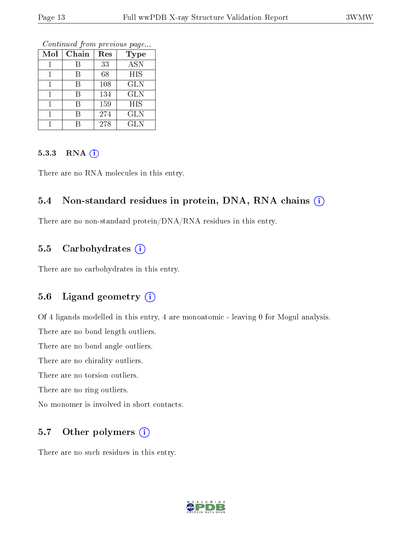Continued from previous page...

| Mol | Chain | Res | <b>Type</b> |
|-----|-------|-----|-------------|
|     | В     | 33  | <b>ASN</b>  |
|     | R     | 68  | HIS         |
|     | В     | 108 | GLN         |
|     | В     | 134 | <b>GLN</b>  |
|     |       | 159 | HIS         |
|     | К     | 274 | GLN         |
|     |       | 278 | <b>GLN</b>  |

#### 5.3.3 RNA (i)

There are no RNA molecules in this entry.

### 5.4 Non-standard residues in protein, DNA, RNA chains (i)

There are no non-standard protein/DNA/RNA residues in this entry.

### 5.5 Carbohydrates  $(i)$

There are no carbohydrates in this entry.

## 5.6 Ligand geometry (i)

Of 4 ligands modelled in this entry, 4 are monoatomic - leaving 0 for Mogul analysis.

There are no bond length outliers.

There are no bond angle outliers.

There are no chirality outliers.

There are no torsion outliers.

There are no ring outliers.

No monomer is involved in short contacts.

## 5.7 [O](https://www.wwpdb.org/validation/2017/XrayValidationReportHelp#nonstandard_residues_and_ligands)ther polymers  $(i)$

There are no such residues in this entry.

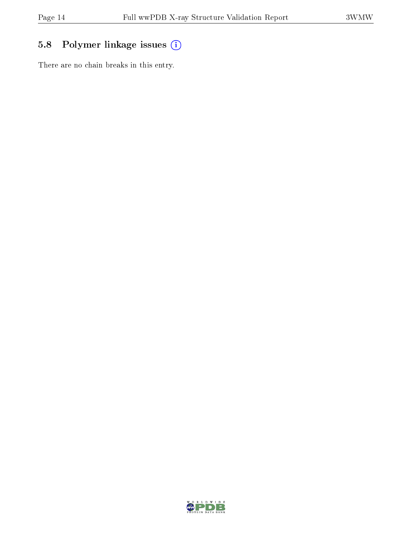# 5.8 Polymer linkage issues (i)

There are no chain breaks in this entry.

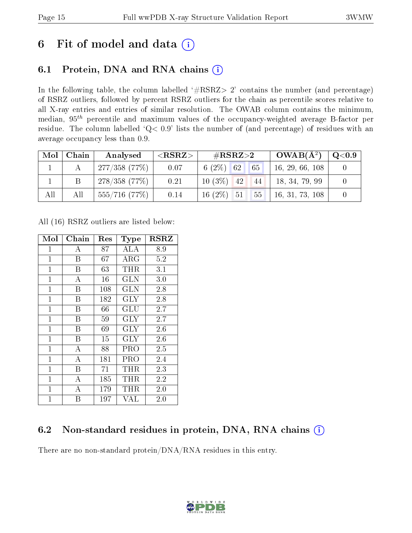# 6 Fit of model and data  $(i)$

## 6.1 Protein, DNA and RNA chains  $(i)$

In the following table, the column labelled  $#RSRZ> 2'$  contains the number (and percentage) of RSRZ outliers, followed by percent RSRZ outliers for the chain as percentile scores relative to all X-ray entries and entries of similar resolution. The OWAB column contains the minimum, median,  $95<sup>th</sup>$  percentile and maximum values of the occupancy-weighted average B-factor per residue. The column labelled ' $Q< 0.9$ ' lists the number of (and percentage) of residues with an average occupancy less than 0.9.

|     | $Mol$   Chain | Analysed         | $^{\circ}$ <rsrz></rsrz> | $\#\text{RSRZ}\text{>2}$ |                                                     | $OWAB(A^2)$     | $\rm Q\textcolor{black}{<}0.9$ |
|-----|---------------|------------------|--------------------------|--------------------------|-----------------------------------------------------|-----------------|--------------------------------|
|     |               | 1277/358(77%)    | 0.07                     | $6(2\%)$ 62              | $\begin{array}{ c c } \hline \hline 65 \end{array}$ | 16, 29, 66, 108 |                                |
|     |               | 278/358(77%)     | 0.21                     | $10(3\%)$ 42             | 44                                                  | 18, 34, 79, 99  |                                |
| All | All           | $555/716$ (77\%) | 0.14                     | $16(2\%)$ 51             | 55                                                  | 16, 31, 73, 108 |                                |

All (16) RSRZ outliers are listed below:

| Mol            | Chain              | $\operatorname{Res}% \left( \mathcal{N}\right) \equiv\operatorname{Res}(\mathcal{N}_{0},\mathcal{N}_{0})$ | <b>Type</b>             | $_{\rm RSRZ}$ |
|----------------|--------------------|-----------------------------------------------------------------------------------------------------------|-------------------------|---------------|
| 1              | А                  | 87                                                                                                        | ALA                     | 8.9           |
| $\mathbf{1}$   | B                  | 67                                                                                                        | $\rm{ARG}$              | $5.2\,$       |
| $\mathbf{1}$   | B                  | 63                                                                                                        | THR                     | 3.1           |
| $\mathbf 1$    | А                  | 16                                                                                                        | GLN                     | 3.0           |
| $\mathbf{1}$   | B                  | 108                                                                                                       | <b>GLN</b>              | 2.8           |
| $\mathbf{1}$   | B                  | 182                                                                                                       | <b>GLY</b>              | 2.8           |
| $\mathbf{1}$   | Β                  | 66                                                                                                        | GLU                     | 2.7           |
| $\mathbf{1}$   | B                  | 59                                                                                                        | <b>GLY</b>              | 2.7           |
| $\mathbf 1$    | Β                  | 69                                                                                                        | GLY                     | 2.6           |
| $\mathbf{1}$   | B                  | 15                                                                                                        | $\overline{\text{GLY}}$ | 2.6           |
| $\mathbf{1}$   | $\overline{A}$     | 88                                                                                                        | PRO                     | 2.5           |
| $\mathbf{1}$   | А                  | 181                                                                                                       | PRO                     | 2.4           |
| $\mathbf{1}$   | B                  | 71                                                                                                        | $\rm THR$               | 2.3           |
| $\mathbf 1$    | $\overline{A}$     | 185                                                                                                       | THR                     | 2.2           |
| $\mathbf{1}$   | $\overline{\rm A}$ | 179                                                                                                       | THR                     | 2.0           |
| $\overline{1}$ | B                  | 197                                                                                                       | VAL                     | $2.0\,$       |

## 6.2 Non-standard residues in protein, DNA, RNA chains  $(i)$

There are no non-standard protein/DNA/RNA residues in this entry.